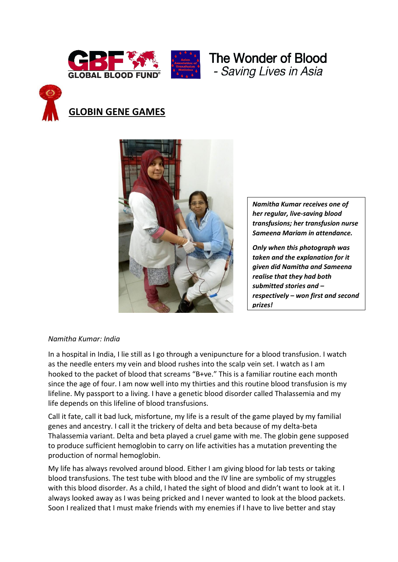





# **GLOBIN GENE GAMES**



*Namitha Kumar receives one of her regular, live-saving blood transfusions; her transfusion nurse Sameena Mariam in attendance.* 

*Only when this photograph was taken and the explanation for it given did Namitha and Sameena realise that they had both submitted stories and – respectively – won first and second prizes!*

# *Namitha Kumar: India*

In a hospital in India, I lie still as I go through a venipuncture for a blood transfusion. I watch as the needle enters my vein and blood rushes into the scalp vein set. I watch as I am hooked to the packet of blood that screams "B+ve." This is a familiar routine each month since the age of four. I am now well into my thirties and this routine blood transfusion is my lifeline. My passport to a living. I have a genetic blood disorder called Thalassemia and my life depends on this lifeline of blood transfusions.

Call it fate, call it bad luck, misfortune, my life is a result of the game played by my familial genes and ancestry. I call it the trickery of delta and beta because of my delta-beta Thalassemia variant. Delta and beta played a cruel game with me. The globin gene supposed to produce sufficient hemoglobin to carry on life activities has a mutation preventing the production of normal hemoglobin.

My life has always revolved around blood. Either I am giving blood for lab tests or taking blood transfusions. The test tube with blood and the IV line are symbolic of my struggles with this blood disorder. As a child, I hated the sight of blood and didn't want to look at it. I always looked away as I was being pricked and I never wanted to look at the blood packets. Soon I realized that I must make friends with my enemies if I have to live better and stay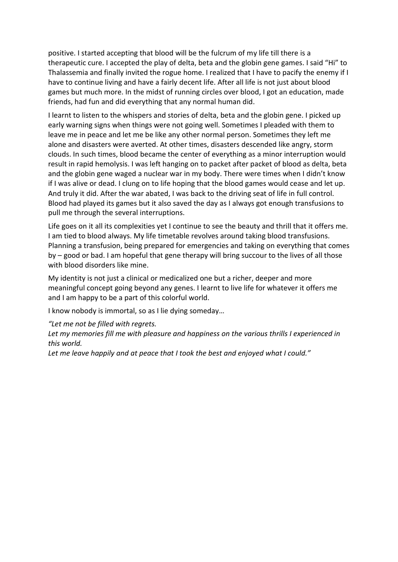positive. I started accepting that blood will be the fulcrum of my life till there is a therapeutic cure. I accepted the play of delta, beta and the globin gene games. I said "Hi" to Thalassemia and finally invited the rogue home. I realized that I have to pacify the enemy if I have to continue living and have a fairly decent life. After all life is not just about blood games but much more. In the midst of running circles over blood, I got an education, made friends, had fun and did everything that any normal human did.

I learnt to listen to the whispers and stories of delta, beta and the globin gene. I picked up early warning signs when things were not going well. Sometimes I pleaded with them to leave me in peace and let me be like any other normal person. Sometimes they left me alone and disasters were averted. At other times, disasters descended like angry, storm clouds. In such times, blood became the center of everything as a minor interruption would result in rapid hemolysis. I was left hanging on to packet after packet of blood as delta, beta and the globin gene waged a nuclear war in my body. There were times when I didn't know if I was alive or dead. I clung on to life hoping that the blood games would cease and let up. And truly it did. After the war abated, I was back to the driving seat of life in full control. Blood had played its games but it also saved the day as I always got enough transfusions to pull me through the several interruptions.

Life goes on it all its complexities yet I continue to see the beauty and thrill that it offers me. I am tied to blood always. My life timetable revolves around taking blood transfusions. Planning a transfusion, being prepared for emergencies and taking on everything that comes by – good or bad. I am hopeful that gene therapy will bring succour to the lives of all those with blood disorders like mine.

My identity is not just a clinical or medicalized one but a richer, deeper and more meaningful concept going beyond any genes. I learnt to live life for whatever it offers me and I am happy to be a part of this colorful world.

I know nobody is immortal, so as I lie dying someday…

*"Let me not be filled with regrets.*

*Let my memories fill me with pleasure and happiness on the various thrills I experienced in this world.*

*Let me leave happily and at peace that I took the best and enjoyed what I could."*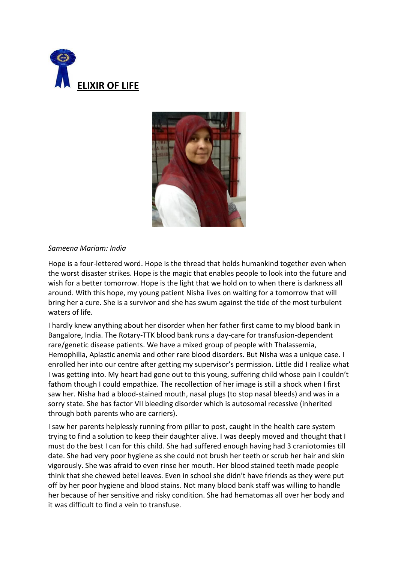



# *Sameena Mariam: India*

Hope is a four-lettered word. Hope is the thread that holds humankind together even when the worst disaster strikes. Hope is the magic that enables people to look into the future and wish for a better tomorrow. Hope is the light that we hold on to when there is darkness all around. With this hope, my young patient Nisha lives on waiting for a tomorrow that will bring her a cure. She is a survivor and she has swum against the tide of the most turbulent waters of life.

I hardly knew anything about her disorder when her father first came to my blood bank in Bangalore, India. The Rotary-TTK blood bank runs a day-care for transfusion-dependent rare/genetic disease patients. We have a mixed group of people with Thalassemia, Hemophilia, Aplastic anemia and other rare blood disorders. But Nisha was a unique case. I enrolled her into our centre after getting my supervisor's permission. Little did I realize what I was getting into. My heart had gone out to this young, suffering child whose pain I couldn't fathom though I could empathize. The recollection of her image is still a shock when I first saw her. Nisha had a blood-stained mouth, nasal plugs (to stop nasal bleeds) and was in a sorry state. She has factor VII bleeding disorder which is autosomal recessive (inherited through both parents who are carriers).

I saw her parents helplessly running from pillar to post, caught in the health care system trying to find a solution to keep their daughter alive. I was deeply moved and thought that I must do the best I can for this child. She had suffered enough having had 3 craniotomies till date. She had very poor hygiene as she could not brush her teeth or scrub her hair and skin vigorously. She was afraid to even rinse her mouth. Her blood stained teeth made people think that she chewed betel leaves. Even in school she didn't have friends as they were put off by her poor hygiene and blood stains. Not many blood bank staff was willing to handle her because of her sensitive and risky condition. She had hematomas all over her body and it was difficult to find a vein to transfuse.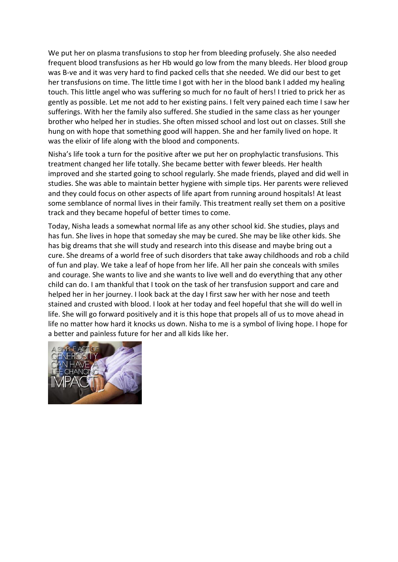We put her on plasma transfusions to stop her from bleeding profusely. She also needed frequent blood transfusions as her Hb would go low from the many bleeds. Her blood group was B-ve and it was very hard to find packed cells that she needed. We did our best to get her transfusions on time. The little time I got with her in the blood bank I added my healing touch. This little angel who was suffering so much for no fault of hers! I tried to prick her as gently as possible. Let me not add to her existing pains. I felt very pained each time I saw her sufferings. With her the family also suffered. She studied in the same class as her younger brother who helped her in studies. She often missed school and lost out on classes. Still she hung on with hope that something good will happen. She and her family lived on hope. It was the elixir of life along with the blood and components.

Nisha's life took a turn for the positive after we put her on prophylactic transfusions. This treatment changed her life totally. She became better with fewer bleeds. Her health improved and she started going to school regularly. She made friends, played and did well in studies. She was able to maintain better hygiene with simple tips. Her parents were relieved and they could focus on other aspects of life apart from running around hospitals! At least some semblance of normal lives in their family. This treatment really set them on a positive track and they became hopeful of better times to come.

Today, Nisha leads a somewhat normal life as any other school kid. She studies, plays and has fun. She lives in hope that someday she may be cured. She may be like other kids. She has big dreams that she will study and research into this disease and maybe bring out a cure. She dreams of a world free of such disorders that take away childhoods and rob a child of fun and play. We take a leaf of hope from her life. All her pain she conceals with smiles and courage. She wants to live and she wants to live well and do everything that any other child can do. I am thankful that I took on the task of her transfusion support and care and helped her in her journey. I look back at the day I first saw her with her nose and teeth stained and crusted with blood. I look at her today and feel hopeful that she will do well in life. She will go forward positively and it is this hope that propels all of us to move ahead in life no matter how hard it knocks us down. Nisha to me is a symbol of living hope. I hope for a better and painless future for her and all kids like her.

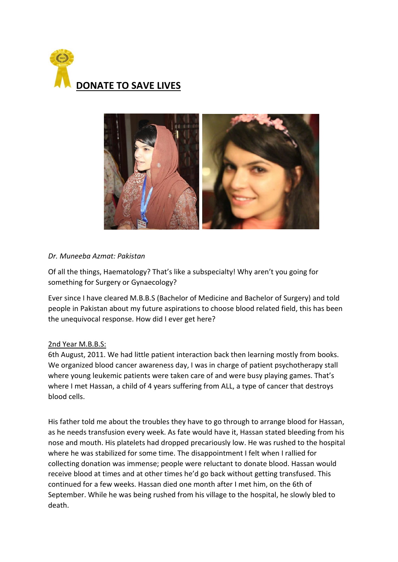



# *Dr. Muneeba Azmat: Pakistan*

Of all the things, Haematology? That's like a subspecialty! Why aren't you going for something for Surgery or Gynaecology?

Ever since I have cleared M.B.B.S (Bachelor of Medicine and Bachelor of Surgery) and told people in Pakistan about my future aspirations to choose blood related field, this has been the unequivocal response. How did I ever get here?

# 2nd Year M.B.B.S:

6th August, 2011. We had little patient interaction back then learning mostly from books. We organized blood cancer awareness day, I was in charge of patient psychotherapy stall where young leukemic patients were taken care of and were busy playing games. That's where I met Hassan, a child of 4 years suffering from ALL, a type of cancer that destroys blood cells.

His father told me about the troubles they have to go through to arrange blood for Hassan, as he needs transfusion every week. As fate would have it, Hassan stated bleeding from his nose and mouth. His platelets had dropped precariously low. He was rushed to the hospital where he was stabilized for some time. The disappointment I felt when I rallied for collecting donation was immense; people were reluctant to donate blood. Hassan would receive blood at times and at other times he'd go back without getting transfused. This continued for a few weeks. Hassan died one month after I met him, on the 6th of September. While he was being rushed from his village to the hospital, he slowly bled to death.